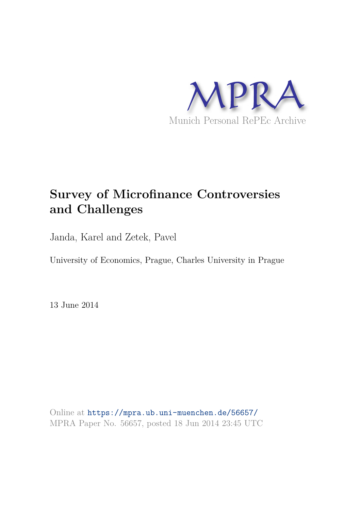

# **Survey of Microfinance Controversies and Challenges**

Janda, Karel and Zetek, Pavel

University of Economics, Prague, Charles University in Prague

13 June 2014

Online at https://mpra.ub.uni-muenchen.de/56657/ MPRA Paper No. 56657, posted 18 Jun 2014 23:45 UTC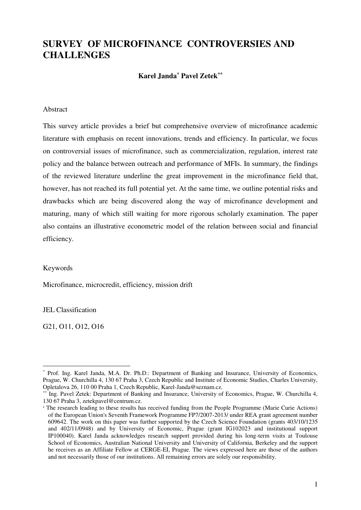# **SURVEY OF MICROFINANCE CONTROVERSIES AND CHALLENGES**

**Karel Janda***\**  **Pavel Zetek\*\***

#### Abstract

This survey article provides a brief but comprehensive overview of microfinance academic literature with emphasis on recent innovations, trends and efficiency. In particular, we focus on controversial issues of microfinance, such as commercialization, regulation, interest rate policy and the balance between outreach and performance of MFIs. In summary, the findings of the reviewed literature underline the great improvement in the microfinance field that, however, has not reached its full potential yet. At the same time, we outline potential risks and drawbacks which are being discovered along the way of microfinance development and maturing, many of which still waiting for more rigorous scholarly examination. The paper also contains an illustrative econometric model of the relation between social and financial efficiency.

#### Keywords

Microfinance, microcredit, efficiency, mission drift

JEL Classification

G21, O11, O12, O16

<sup>-</sup>\* Prof. Ing. Karel Janda, M.A. Dr. Ph.D.: Department of Banking and Insurance, University of Economics, Prague, W. Churchilla 4, 130 67 Praha 3, Czech Republic and Institute of Economic Studies, Charles University, Opletalova 26, 110 00 Praha 1, Czech Republic, Karel-Janda@seznam.cz.

Ing. Pavel Zetek: Department of Banking and Insurance, University of Economics, Prague, W. Churchilla 4, 130 67 Praha 3, zetekpavel@centrum.cz.

 The research leading to these results has received funding from the People Programme (Marie Curie Actions) of the European Union's Seventh Framework Programme FP7/2007-2013/ under REA grant agreement number 609642. The work on this paper was further supported by the Czech Science Foundation (grants 403/10/1235 and 402/11/0948) and by University of Economic, Prague (grant IG102023 and institutional support IP100040). Karel Janda acknowledges research support provided during his long-term visits at Toulouse School of Economics, Australian National University and University of California, Berkeley and the support he receives as an Affiliate Fellow at CERGE-EI, Prague. The views expressed here are those of the authors and not necessarily those of our institutions. All remaining errors are solely our responsibility.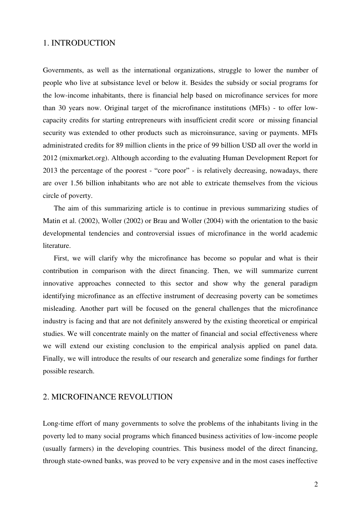# 1. INTRODUCTION

Governments, as well as the international organizations, struggle to lower the number of people who live at subsistance level or below it. Besides the subsidy or social programs for the low-income inhabitants, there is financial help based on microfinance services for more than 30 years now. Original target of the microfinance institutions (MFIs) - to offer lowcapacity credits for starting entrepreneurs with insufficient credit score or missing financial security was extended to other products such as microinsurance, saving or payments. MFIs administrated credits for 89 million clients in the price of 99 billion USD all over the world in 2012 (mixmarket.org). Although according to the evaluating Human Development Report for 2013 the percentage of the poorest - "core poor" - is relatively decreasing, nowadays, there are over 1.56 billion inhabitants who are not able to extricate themselves from the vicious circle of poverty.

The aim of this summarizing article is to continue in previous summarizing studies of Matin et al. (2002), Woller (2002) or Brau and Woller (2004) with the orientation to the basic developmental tendencies and controversial issues of microfinance in the world academic literature.

First, we will clarify why the microfinance has become so popular and what is their contribution in comparison with the direct financing. Then, we will summarize current innovative approaches connected to this sector and show why the general paradigm identifying microfinance as an effective instrument of decreasing poverty can be sometimes misleading. Another part will be focused on the general challenges that the microfinance industry is facing and that are not definitely answered by the existing theoretical or empirical studies. We will concentrate mainly on the matter of financial and social effectiveness where we will extend our existing conclusion to the empirical analysis applied on panel data. Finally, we will introduce the results of our research and generalize some findings for further possible research.

# 2. MICROFINANCE REVOLUTION

Long-time effort of many governments to solve the problems of the inhabitants living in the poverty led to many social programs which financed business activities of low-income people (usually farmers) in the developing countries. This business model of the direct financing, through state-owned banks, was proved to be very expensive and in the most cases ineffective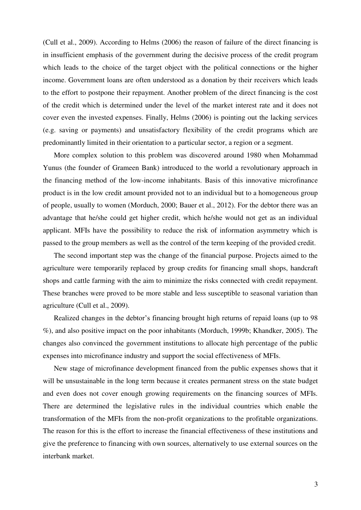(Cull et al., 2009). According to Helms (2006) the reason of failure of the direct financing is in insufficient emphasis of the government during the decisive process of the credit program which leads to the choice of the target object with the political connections or the higher income. Government loans are often understood as a donation by their receivers which leads to the effort to postpone their repayment. Another problem of the direct financing is the cost of the credit which is determined under the level of the market interest rate and it does not cover even the invested expenses. Finally, Helms (2006) is pointing out the lacking services (e.g. saving or payments) and unsatisfactory flexibility of the credit programs which are predominantly limited in their orientation to a particular sector, a region or a segment.

More complex solution to this problem was discovered around 1980 when Mohammad Yunus (the founder of Grameen Bank) introduced to the world a revolutionary approach in the financing method of the low-income inhabitants. Basis of this innovative microfinance product is in the low credit amount provided not to an individual but to a homogeneous group of people, usually to women (Morduch, 2000; Bauer et al., 2012). For the debtor there was an advantage that he/she could get higher credit, which he/she would not get as an individual applicant. MFIs have the possibility to reduce the risk of information asymmetry which is passed to the group members as well as the control of the term keeping of the provided credit.

The second important step was the change of the financial purpose. Projects aimed to the agriculture were temporarily replaced by group credits for financing small shops, handcraft shops and cattle farming with the aim to minimize the risks connected with credit repayment. These branches were proved to be more stable and less susceptible to seasonal variation than agriculture (Cull et al., 2009).

Realized changes in the debtor's financing brought high returns of repaid loans (up to 98 %), and also positive impact on the poor inhabitants (Morduch, 1999b; Khandker, 2005). The changes also convinced the government institutions to allocate high percentage of the public expenses into microfinance industry and support the social effectiveness of MFIs.

New stage of microfinance development financed from the public expenses shows that it will be unsustainable in the long term because it creates permanent stress on the state budget and even does not cover enough growing requirements on the financing sources of MFIs. There are determined the legislative rules in the individual countries which enable the transformation of the MFIs from the non-profit organizations to the profitable organizations. The reason for this is the effort to increase the financial effectiveness of these institutions and give the preference to financing with own sources, alternatively to use external sources on the interbank market.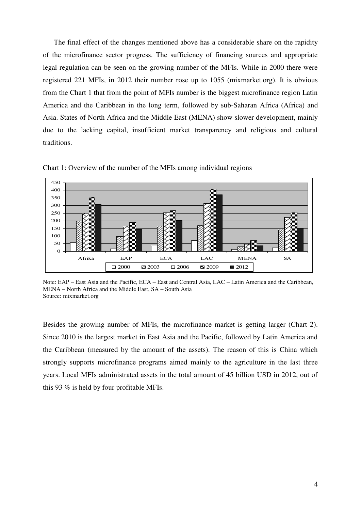The final effect of the changes mentioned above has a considerable share on the rapidity of the microfinance sector progress. The sufficiency of financing sources and appropriate legal regulation can be seen on the growing number of the MFIs. While in 2000 there were registered 221 MFIs, in 2012 their number rose up to 1055 (mixmarket.org). It is obvious from the Chart 1 that from the point of MFIs number is the biggest microfinance region Latin America and the Caribbean in the long term, followed by sub-Saharan Africa (Africa) and Asia. States of North Africa and the Middle East (MENA) show slower development, mainly due to the lacking capital, insufficient market transparency and religious and cultural traditions.



Chart 1: Overview of the number of the MFIs among individual regions

Note: EAP – East Asia and the Pacific, ECA – East and Central Asia, LAC – Latin America and the Caribbean, MENA – North Africa and the Middle East, SA – South Asia Source: mixmarket.org

Besides the growing number of MFIs, the microfinance market is getting larger (Chart 2). Since 2010 is the largest market in East Asia and the Pacific, followed by Latin America and the Caribbean (measured by the amount of the assets). The reason of this is China which strongly supports microfinance programs aimed mainly to the agriculture in the last three years. Local MFIs administrated assets in the total amount of 45 billion USD in 2012, out of this 93 % is held by four profitable MFIs.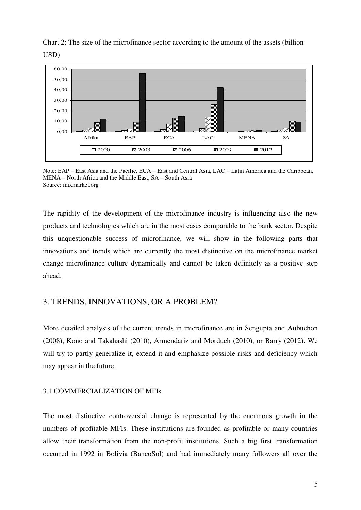



Note: EAP – East Asia and the Pacific, ECA – East and Central Asia, LAC – Latin America and the Caribbean, MENA – North Africa and the Middle East, SA – South Asia Source: mixmarket.org

The rapidity of the development of the microfinance industry is influencing also the new products and technologies which are in the most cases comparable to the bank sector. Despite this unquestionable success of microfinance, we will show in the following parts that innovations and trends which are currently the most distinctive on the microfinance market change microfinance culture dynamically and cannot be taken definitely as a positive step ahead.

# 3. TRENDS, INNOVATIONS, OR A PROBLEM?

More detailed analysis of the current trends in microfinance are in Sengupta and Aubuchon (2008), Kono and Takahashi (2010), Armendariz and Morduch (2010), or Barry (2012). We will try to partly generalize it, extend it and emphasize possible risks and deficiency which may appear in the future.

#### 3.1 COMMERCIALIZATION OF MFIs

The most distinctive controversial change is represented by the enormous growth in the numbers of profitable MFIs. These institutions are founded as profitable or many countries allow their transformation from the non-profit institutions. Such a big first transformation occurred in 1992 in Bolivia (BancoSol) and had immediately many followers all over the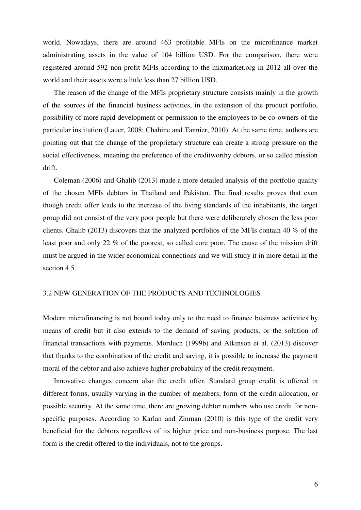world. Nowadays, there are around 463 profitable MFIs on the microfinance market administrating assets in the value of 104 billion USD. For the comparison, there were registered around 592 non-profit MFIs according to the mixmarket.org in 2012 all over the world and their assets were a little less than 27 billion USD.

The reason of the change of the MFIs proprietary structure consists mainly in the growth of the sources of the financial business activities, in the extension of the product portfolio, possibility of more rapid development or permission to the employees to be co-owners of the particular institution (Lauer, 2008; Chahine and Tannier, 2010). At the same time, authors are pointing out that the change of the proprietary structure can create a strong pressure on the social effectiveness, meaning the preference of the creditworthy debtors, or so called mission drift.

Coleman (2006) and Ghalib (2013) made a more detailed analysis of the portfolio quality of the chosen MFIs debtors in Thailand and Pakistan. The final results proves that even though credit offer leads to the increase of the living standards of the inhabitants, the target group did not consist of the very poor people but there were deliberately chosen the less poor clients. Ghalib (2013) discovers that the analyzed portfolios of the MFIs contain 40 % of the least poor and only 22 % of the poorest, so called core poor. The cause of the mission drift must be argued in the wider economical connections and we will study it in more detail in the section 4.5.

#### 3.2 NEW GENERATION OF THE PRODUCTS AND TECHNOLOGIES

Modern microfinancing is not bound today only to the need to finance business activities by means of credit but it also extends to the demand of saving products, or the solution of financial transactions with payments. Morduch (1999b) and Atkinson et al. (2013) discover that thanks to the combination of the credit and saving, it is possible to increase the payment moral of the debtor and also achieve higher probability of the credit repayment.

Innovative changes concern also the credit offer. Standard group credit is offered in different forms, usually varying in the number of members, form of the credit allocation, or possible security. At the same time, there are growing debtor numbers who use credit for nonspecific purposes. According to Karlan and Zinman (2010) is this type of the credit very beneficial for the debtors regardless of its higher price and non-business purpose. The last form is the credit offered to the individuals, not to the groups.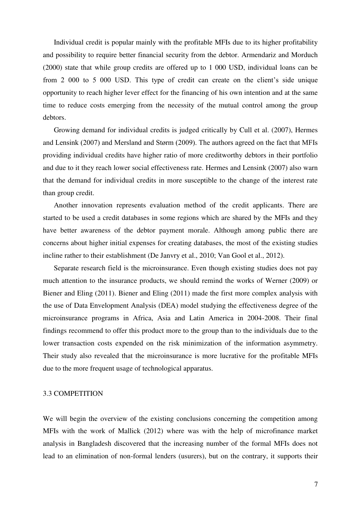Individual credit is popular mainly with the profitable MFIs due to its higher profitability and possibility to require better financial security from the debtor. Armendariz and Morduch (2000) state that while group credits are offered up to 1 000 USD, individual loans can be from 2 000 to 5 000 USD. This type of credit can create on the client's side unique opportunity to reach higher lever effect for the financing of his own intention and at the same time to reduce costs emerging from the necessity of the mutual control among the group debtors.

Growing demand for individual credits is judged critically by Cull et al. (2007), Hermes and Lensink (2007) and Mersland and Størm (2009). The authors agreed on the fact that MFIs providing individual credits have higher ratio of more creditworthy debtors in their portfolio and due to it they reach lower social effectiveness rate. Hermes and Lensink (2007) also warn that the demand for individual credits in more susceptible to the change of the interest rate than group credit.

Another innovation represents evaluation method of the credit applicants. There are started to be used a credit databases in some regions which are shared by the MFIs and they have better awareness of the debtor payment morale. Although among public there are concerns about higher initial expenses for creating databases, the most of the existing studies incline rather to their establishment (De Janvry et al., 2010; Van Gool et al., 2012).

Separate research field is the microinsurance. Even though existing studies does not pay much attention to the insurance products, we should remind the works of Werner (2009) or Biener and Eling (2011). Biener and Eling (2011) made the first more complex analysis with the use of Data Envelopment Analysis (DEA) model studying the effectiveness degree of the microinsurance programs in Africa, Asia and Latin America in 2004-2008. Their final findings recommend to offer this product more to the group than to the individuals due to the lower transaction costs expended on the risk minimization of the information asymmetry. Their study also revealed that the microinsurance is more lucrative for the profitable MFIs due to the more frequent usage of technological apparatus.

#### 3.3 COMPETITION

We will begin the overview of the existing conclusions concerning the competition among MFIs with the work of Mallick (2012) where was with the help of microfinance market analysis in Bangladesh discovered that the increasing number of the formal MFIs does not lead to an elimination of non-formal lenders (usurers), but on the contrary, it supports their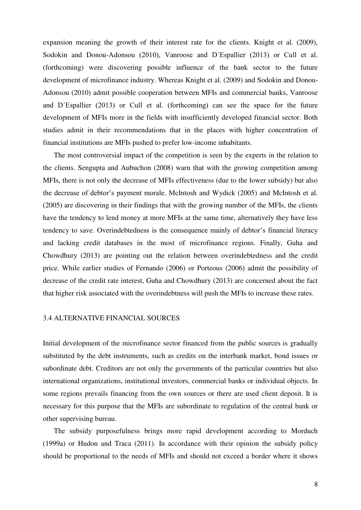expansion meaning the growth of their interest rate for the clients. Knight et al. (2009), Sodokin and Donou-Adonsou (2010), Vanroose and D´Espallier (2013) or Cull et al. (forthcoming) were discovering possible influence of the bank sector to the future development of microfinance industry. Whereas Knight et al. (2009) and Sodokin and Donou-Adonsou (2010) admit possible cooperation between MFIs and commercial banks, Vanroose and D´Espallier (2013) or Cull et al. (forthcoming) can see the space for the future development of MFIs more in the fields with insufficiently developed financial sector. Both studies admit in their recommendations that in the places with higher concentration of financial institutions are MFIs pushed to prefer low-income inhabitants.

The most controversial impact of the competition is seen by the experts in the relation to the clients. Sengupta and Aubuchon (2008) warn that with the growing competition among MFIs, there is not only the decrease of MFIs effectiveness (due to the lower subsidy) but also the decrease of debtor's payment morale. McIntosh and Wydick (2005) and McIntosh et al. (2005) are discovering in their findings that with the growing number of the MFIs, the clients have the tendency to lend money at more MFIs at the same time, alternatively they have less tendency to save. Overindebtedness is the consequence mainly of debtor's financial literacy and lacking credit databases in the most of microfinance regions. Finally, Guha and Chowdhury (2013) are pointing out the relation between overindebtedness and the credit price. While earlier studies of Fernando (2006) or Porteous (2006) admit the possibility of decrease of the credit rate interest, Guha and Chowdhury (2013) are concerned about the fact that higher risk associated with the overindebtness will push the MFIs to increase these rates.

#### 3.4 ALTERNATIVE FINANCIAL SOURCES

Initial development of the microfinance sector financed from the public sources is gradually substituted by the debt instruments, such as credits on the interbank market, bond issues or subordinate debt. Creditors are not only the governments of the particular countries but also international organizations, institutional investors, commercial banks or individual objects. In some regions prevails financing from the own sources or there are used client deposit. It is necessary for this purpose that the MFIs are subordinate to regulation of the central bank or other supervising bureau.

The subsidy purposefulness brings more rapid development according to Morduch (1999a) or Hudon and Traca (2011). In accordance with their opinion the subsidy policy should be proportional to the needs of MFIs and should not exceed a border where it shows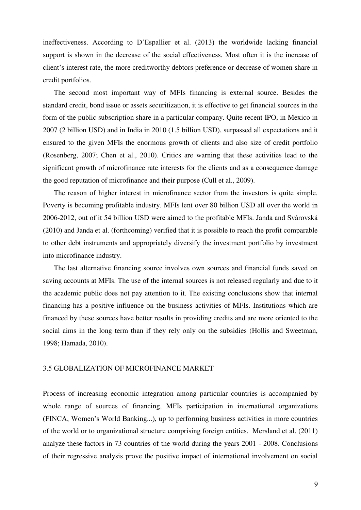ineffectiveness. According to D´Espallier et al. (2013) the worldwide lacking financial support is shown in the decrease of the social effectiveness. Most often it is the increase of client's interest rate, the more creditworthy debtors preference or decrease of women share in credit portfolios.

The second most important way of MFIs financing is external source. Besides the standard credit, bond issue or assets securitization, it is effective to get financial sources in the form of the public subscription share in a particular company. Quite recent IPO, in Mexico in 2007 (2 billion USD) and in India in 2010 (1.5 billion USD), surpassed all expectations and it ensured to the given MFIs the enormous growth of clients and also size of credit portfolio (Rosenberg, 2007; Chen et al., 2010). Critics are warning that these activities lead to the significant growth of microfinance rate interests for the clients and as a consequence damage the good reputation of microfinance and their purpose (Cull et al., 2009).

The reason of higher interest in microfinance sector from the investors is quite simple. Poverty is becoming profitable industry. MFIs lent over 80 billion USD all over the world in 2006-2012, out of it 54 billion USD were aimed to the profitable MFIs. Janda and Svárovská (2010) and Janda et al. (forthcoming) verified that it is possible to reach the profit comparable to other debt instruments and appropriately diversify the investment portfolio by investment into microfinance industry.

The last alternative financing source involves own sources and financial funds saved on saving accounts at MFIs. The use of the internal sources is not released regularly and due to it the academic public does not pay attention to it. The existing conclusions show that internal financing has a positive influence on the business activities of MFIs. Institutions which are financed by these sources have better results in providing credits and are more oriented to the social aims in the long term than if they rely only on the subsidies (Hollis and Sweetman, 1998; Hamada, 2010).

#### 3.5 GLOBALIZATION OF MICROFINANCE MARKET

Process of increasing economic integration among particular countries is accompanied by whole range of sources of financing, MFIs participation in international organizations (FINCA, Women's World Banking...), up to performing business activities in more countries of the world or to organizational structure comprising foreign entities. Mersland et al. (2011) analyze these factors in 73 countries of the world during the years 2001 - 2008. Conclusions of their regressive analysis prove the positive impact of international involvement on social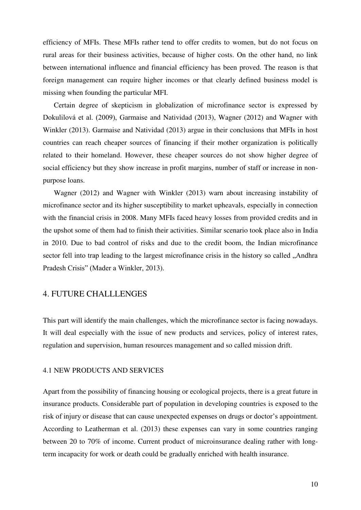efficiency of MFIs. These MFIs rather tend to offer credits to women, but do not focus on rural areas for their business activities, because of higher costs. On the other hand, no link between international influence and financial efficiency has been proved. The reason is that foreign management can require higher incomes or that clearly defined business model is missing when founding the particular MFI.

Certain degree of skepticism in globalization of microfinance sector is expressed by Dokulilová et al. (2009), Garmaise and Natividad (2013), Wagner (2012) and Wagner with Winkler (2013). Garmaise and Natividad (2013) argue in their conclusions that MFIs in host countries can reach cheaper sources of financing if their mother organization is politically related to their homeland. However, these cheaper sources do not show higher degree of social efficiency but they show increase in profit margins, number of staff or increase in nonpurpose loans.

Wagner (2012) and Wagner with Winkler (2013) warn about increasing instability of microfinance sector and its higher susceptibility to market upheavals, especially in connection with the financial crisis in 2008. Many MFIs faced heavy losses from provided credits and in the upshot some of them had to finish their activities. Similar scenario took place also in India in 2010. Due to bad control of risks and due to the credit boom, the Indian microfinance sector fell into trap leading to the largest microfinance crisis in the history so called . Andhra Pradesh Crisis" (Mader a Winkler, 2013).

#### 4. FUTURE CHALLLENGES

This part will identify the main challenges, which the microfinance sector is facing nowadays. It will deal especially with the issue of new products and services, policy of interest rates, regulation and supervision, human resources management and so called mission drift.

#### 4.1 NEW PRODUCTS AND SERVICES

Apart from the possibility of financing housing or ecological projects, there is a great future in insurance products. Considerable part of population in developing countries is exposed to the risk of injury or disease that can cause unexpected expenses on drugs or doctor's appointment. According to Leatherman et al. (2013) these expenses can vary in some countries ranging between 20 to 70% of income. Current product of microinsurance dealing rather with longterm incapacity for work or death could be gradually enriched with health insurance.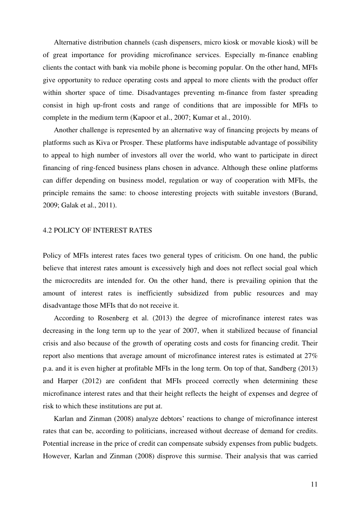Alternative distribution channels (cash dispensers, micro kiosk or movable kiosk) will be of great importance for providing microfinance services. Especially m-finance enabling clients the contact with bank via mobile phone is becoming popular. On the other hand, MFIs give opportunity to reduce operating costs and appeal to more clients with the product offer within shorter space of time. Disadvantages preventing m-finance from faster spreading consist in high up-front costs and range of conditions that are impossible for MFIs to complete in the medium term (Kapoor et al., 2007; Kumar et al., 2010).

Another challenge is represented by an alternative way of financing projects by means of platforms such as Kiva or Prosper. These platforms have indisputable advantage of possibility to appeal to high number of investors all over the world, who want to participate in direct financing of ring-fenced business plans chosen in advance. Although these online platforms can differ depending on business model, regulation or way of cooperation with MFIs, the principle remains the same: to choose interesting projects with suitable investors (Burand, 2009; Galak et al., 2011).

#### 4.2 POLICY OF INTEREST RATES

Policy of MFIs interest rates faces two general types of criticism. On one hand, the public believe that interest rates amount is excessively high and does not reflect social goal which the microcredits are intended for. On the other hand, there is prevailing opinion that the amount of interest rates is inefficiently subsidized from public resources and may disadvantage those MFIs that do not receive it.

According to Rosenberg et al. (2013) the degree of microfinance interest rates was decreasing in the long term up to the year of 2007, when it stabilized because of financial crisis and also because of the growth of operating costs and costs for financing credit. Their report also mentions that average amount of microfinance interest rates is estimated at 27% p.a. and it is even higher at profitable MFIs in the long term. On top of that, Sandberg (2013) and Harper (2012) are confident that MFIs proceed correctly when determining these microfinance interest rates and that their height reflects the height of expenses and degree of risk to which these institutions are put at.

Karlan and Zinman (2008) analyze debtors' reactions to change of microfinance interest rates that can be, according to politicians, increased without decrease of demand for credits. Potential increase in the price of credit can compensate subsidy expenses from public budgets. However, Karlan and Zinman (2008) disprove this surmise. Their analysis that was carried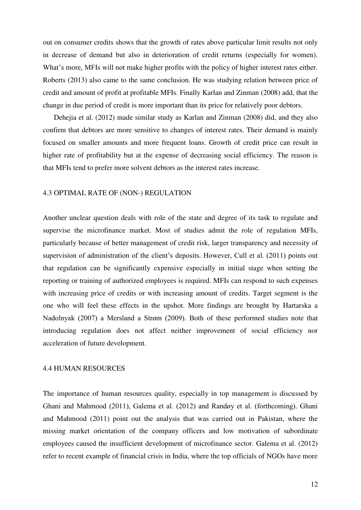out on consumer credits shows that the growth of rates above particular limit results not only in decrease of demand but also in deterioration of credit returns (especially for women). What's more, MFIs will not make higher profits with the policy of higher interest rates either. Roberts (2013) also came to the same conclusion. He was studying relation between price of credit and amount of profit at profitable MFIs. Finally Karlan and Zinman (2008) add, that the change in due period of credit is more important than its price for relatively poor debtors.

Dehejia et al. (2012) made similar study as Karlan and Zinman (2008) did, and they also confirm that debtors are more sensitive to changes of interest rates. Their demand is mainly focused on smaller amounts and more frequent loans. Growth of credit price can result in higher rate of profitability but at the expense of decreasing social efficiency. The reason is that MFIs tend to prefer more solvent debtors as the interest rates increase.

#### 4.3 OPTIMAL RATE OF (NON-) REGULATION

Another unclear question deals with role of the state and degree of its task to regulate and supervise the microfinance market. Most of studies admit the role of regulation MFIs, particularly because of better management of credit risk, larger transparency and necessity of supervision of administration of the client's deposits. However, Cull et al. (2011) points out that regulation can be significantly expensive especially in initial stage when setting the reporting or training of authorized employees is required. MFIs can respond to such expenses with increasing price of credits or with increasing amount of credits. Target segment is the one who will feel these effects in the upshot. More findings are brought by Hartarska a Nadolnyak (2007) a Mersland a Strøm (2009). Both of these performed studies note that introducing regulation does not affect neither improvement of social efficiency nor acceleration of future development.

#### 4.4 HUMAN RESOURCES

The importance of human resources quality, especially in top management is discussed by Ghani and Mahmood (2011), Galema et al. (2012) and Randøy et al. (forthcoming). Ghani and Mahmood (2011) point out the analysis that was carried out in Pakistan, where the missing market orientation of the company officers and low motivation of subordinate employees caused the insufficient development of microfinance sector. Galema et al. (2012) refer to recent example of financial crisis in India, where the top officials of NGOs have more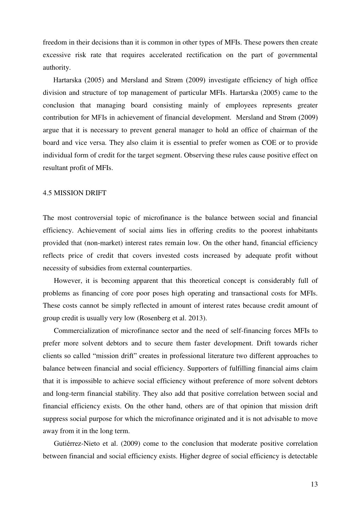freedom in their decisions than it is common in other types of MFIs. These powers then create excessive risk rate that requires accelerated rectification on the part of governmental authority.

Hartarska (2005) and Mersland and Strøm (2009) investigate efficiency of high office division and structure of top management of particular MFIs. Hartarska (2005) came to the conclusion that managing board consisting mainly of employees represents greater contribution for MFIs in achievement of financial development. Mersland and Strøm (2009) argue that it is necessary to prevent general manager to hold an office of chairman of the board and vice versa. They also claim it is essential to prefer women as COE or to provide individual form of credit for the target segment. Observing these rules cause positive effect on resultant profit of MFIs.

#### 4.5 MISSION DRIFT

The most controversial topic of microfinance is the balance between social and financial efficiency. Achievement of social aims lies in offering credits to the poorest inhabitants provided that (non-market) interest rates remain low. On the other hand, financial efficiency reflects price of credit that covers invested costs increased by adequate profit without necessity of subsidies from external counterparties.

However, it is becoming apparent that this theoretical concept is considerably full of problems as financing of core poor poses high operating and transactional costs for MFIs. These costs cannot be simply reflected in amount of interest rates because credit amount of group credit is usually very low (Rosenberg et al. 2013).

Commercialization of microfinance sector and the need of self-financing forces MFIs to prefer more solvent debtors and to secure them faster development. Drift towards richer clients so called "mission drift" creates in professional literature two different approaches to balance between financial and social efficiency. Supporters of fulfilling financial aims claim that it is impossible to achieve social efficiency without preference of more solvent debtors and long-term financial stability. They also add that positive correlation between social and financial efficiency exists. On the other hand, others are of that opinion that mission drift suppress social purpose for which the microfinance originated and it is not advisable to move away from it in the long term.

Gutiérrez-Nieto et al. (2009) come to the conclusion that moderate positive correlation between financial and social efficiency exists. Higher degree of social efficiency is detectable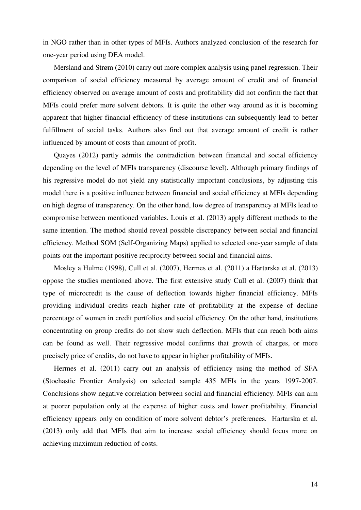in NGO rather than in other types of MFIs. Authors analyzed conclusion of the research for one-year period using DEA model.

Mersland and Strøm (2010) carry out more complex analysis using panel regression. Their comparison of social efficiency measured by average amount of credit and of financial efficiency observed on average amount of costs and profitability did not confirm the fact that MFIs could prefer more solvent debtors. It is quite the other way around as it is becoming apparent that higher financial efficiency of these institutions can subsequently lead to better fulfillment of social tasks. Authors also find out that average amount of credit is rather influenced by amount of costs than amount of profit.

Quayes (2012) partly admits the contradiction between financial and social efficiency depending on the level of MFIs transparency (discourse level). Although primary findings of his regressive model do not yield any statistically important conclusions, by adjusting this model there is a positive influence between financial and social efficiency at MFIs depending on high degree of transparency. On the other hand, low degree of transparency at MFIs lead to compromise between mentioned variables. Louis et al. (2013) apply different methods to the same intention. The method should reveal possible discrepancy between social and financial efficiency. Method SOM (Self-Organizing Maps) applied to selected one-year sample of data points out the important positive reciprocity between social and financial aims.

Mosley a Hulme (1998), Cull et al. (2007), Hermes et al. (2011) a Hartarska et al. (2013) oppose the studies mentioned above. The first extensive study Cull et al. (2007) think that type of microcredit is the cause of deflection towards higher financial efficiency. MFIs providing individual credits reach higher rate of profitability at the expense of decline percentage of women in credit portfolios and social efficiency. On the other hand, institutions concentrating on group credits do not show such deflection. MFIs that can reach both aims can be found as well. Their regressive model confirms that growth of charges, or more precisely price of credits, do not have to appear in higher profitability of MFIs.

Hermes et al. (2011) carry out an analysis of efficiency using the method of SFA (Stochastic Frontier Analysis) on selected sample 435 MFIs in the years 1997-2007. Conclusions show negative correlation between social and financial efficiency. MFIs can aim at poorer population only at the expense of higher costs and lower profitability. Financial efficiency appears only on condition of more solvent debtor's preferences. Hartarska et al. (2013) only add that MFIs that aim to increase social efficiency should focus more on achieving maximum reduction of costs.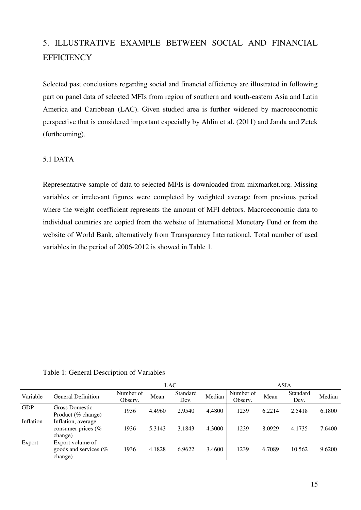# 5. ILLUSTRATIVE EXAMPLE BETWEEN SOCIAL AND FINANCIAL **EFFICIENCY**

Selected past conclusions regarding social and financial efficiency are illustrated in following part on panel data of selected MFIs from region of southern and south-eastern Asia and Latin America and Caribbean (LAC). Given studied area is further widened by macroeconomic perspective that is considered important especially by Ahlin et al. (2011) and Janda and Zetek (forthcoming).

# 5.1 DATA

Representative sample of data to selected MFIs is downloaded from mixmarket.org. Missing variables or irrelevant figures were completed by weighted average from previous period where the weight coefficient represents the amount of MFI debtors. Macroeconomic data to individual countries are copied from the website of International Monetary Fund or from the website of World Bank, alternatively from Transparency International. Total number of used variables in the period of 2006-2012 is showed in Table 1.

Table 1: General Description of Variables

|            |                                                         |                      | <b>LAC</b> |                  |        |                      | <b>ASIA</b> |                  |        |
|------------|---------------------------------------------------------|----------------------|------------|------------------|--------|----------------------|-------------|------------------|--------|
| Variable   | <b>General Definition</b>                               | Number of<br>Observ. | Mean       | Standard<br>Dev. | Median | Number of<br>Observ. | Mean        | Standard<br>Dev. | Median |
| <b>GDP</b> | Gross Domestic<br>Product (% change)                    | 1936                 | 4.4960     | 2.9540           | 4.4800 | 1239                 | 6.2214      | 2.5418           | 6.1800 |
| Inflation  | Inflation, average<br>consumer prices (%<br>change)     | 1936                 | 5.3143     | 3.1843           | 4.3000 | 1239                 | 8.0929      | 4.1735           | 7.6400 |
| Export     | Export volume of<br>goods and services $(\%$<br>change) | 1936                 | 4.1828     | 6.9622           | 3.4600 | 1239                 | 6.7089      | 10.562           | 9.6200 |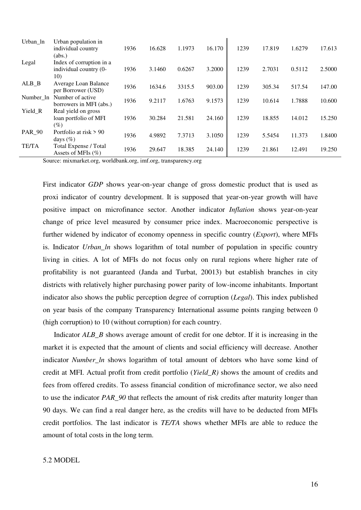| Urban_ln                        | Urban population in      |      |        |        |        |      |        |        |        |
|---------------------------------|--------------------------|------|--------|--------|--------|------|--------|--------|--------|
|                                 | individual country       | 1936 | 16.628 | 1.1973 | 16.170 | 1239 | 17.819 | 1.6279 | 17.613 |
|                                 | (abs.)                   |      |        |        |        |      |        |        |        |
| Legal                           | Index of corruption in a |      |        |        |        |      |        |        |        |
|                                 | individual country (0-   | 1936 | 3.1460 | 0.6267 | 3.2000 | 1239 | 2.7031 | 0.5112 | 2.5000 |
|                                 | 10)                      |      |        |        |        |      |        |        |        |
| $ALB$ <sub><math>B</math></sub> | Average Loan Balance     | 1936 | 1634.6 | 3315.5 | 903.00 | 1239 | 305.34 | 517.54 | 147.00 |
|                                 | per Borrower (USD)       |      |        |        |        |      |        |        |        |
| Number ln                       | Number of active         | 1936 | 9.2117 | 1.6763 | 9.1573 | 1239 | 10.614 | 1.7888 | 10.600 |
|                                 | borrowers in MFI (abs.)  |      |        |        |        |      |        |        |        |
| Yield_R                         | Real yield on gross      |      |        |        |        |      |        |        |        |
|                                 | loan portfolio of MFI    | 1936 | 30.284 | 21.581 | 24.160 | 1239 | 18.855 | 14.012 | 15.250 |
|                                 | $(\%)$                   |      |        |        |        |      |        |        |        |
| <b>PAR_90</b>                   | Portfolio at risk > 90   | 1936 | 4.9892 | 7.3713 | 3.1050 | 1239 | 5.5454 | 11.373 | 1.8400 |
|                                 | days $(\%)$              |      |        |        |        |      |        |        |        |
| <b>TE/TA</b>                    | Total Expense / Total    | 1936 | 29.647 | 18.385 | 24.140 | 1239 | 21.861 | 12.491 | 19.250 |
|                                 | Assets of MFIs $(\% )$   |      |        |        |        |      |        |        |        |

Source: mixmarket.org, worldbank.org, imf.org, transparency.org

First indicator *GDP* shows year-on-year change of gross domestic product that is used as proxi indicator of country development. It is supposed that year-on-year growth will have positive impact on microfinance sector. Another indicator *Inflation* shows year-on-year change of price level measured by consumer price index. Macroeconomic perspective is further widened by indicator of economy openness in specific country (*Export*), where MFIs is. Indicator *Urban\_ln* shows logarithm of total number of population in specific country living in cities. A lot of MFIs do not focus only on rural regions where higher rate of profitability is not guaranteed (Janda and Turbat, 20013) but establish branches in city districts with relatively higher purchasing power parity of low-income inhabitants. Important indicator also shows the public perception degree of corruption (*Legal*). This index published on year basis of the company Transparency International assume points ranging between 0 (high corruption) to 10 (without corruption) for each country.

Indicator *ALB* B shows average amount of credit for one debtor. If it is increasing in the market it is expected that the amount of clients and social efficiency will decrease. Another indicator *Number\_ln* shows logarithm of total amount of debtors who have some kind of credit at MFI. Actual profit from credit portfolio (*Yield\_R)* shows the amount of credits and fees from offered credits. To assess financial condition of microfinance sector, we also need to use the indicator *PAR\_90* that reflects the amount of risk credits after maturity longer than 90 days. We can find a real danger here, as the credits will have to be deducted from MFIs credit portfolios. The last indicator is *TE/TA* shows whether MFIs are able to reduce the amount of total costs in the long term.

#### 5.2 MODEL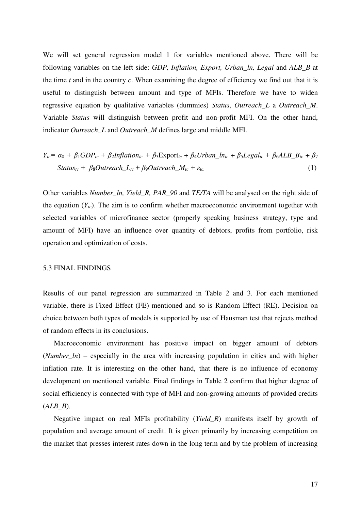We will set general regression model 1 for variables mentioned above. There will be following variables on the left side: *GDP, Inflation, Export, Urban\_ln, Legal* and *ALB\_B* at the time *t* and in the country *c*. When examining the degree of efficiency we find out that it is useful to distinguish between amount and type of MFIs. Therefore we have to widen regressive equation by qualitative variables (dummies) *Status*, *Outreach\_L* a *Outreach\_M*. Variable *Status* will distinguish between profit and non-profit MFI. On the other hand, indicator *Outreach\_L* and *Outreach\_M* defines large and middle MFI.

$$
Y_{tc} = \alpha_0 + \beta_1 GDP_{tc} + \beta_2 Inflation_{tc} + \beta_3 \text{Export}_{tc} + \beta_4 Urban\_ln_{tc} + \beta_5 Legal_{tc} + \beta_6 ALB\_B_{tc} + \beta_7
$$
  
\n
$$
Status_{tc} + \beta_8 Outreach\_L_{tc} + \beta_9 Outreach\_M_{tc} + \varepsilon_{tc}.
$$
 (1)

Other variables *Number\_ln, Yield\_R, PAR\_90* and *TE/TA* will be analysed on the right side of the equation  $(Y_{tc})$ . The aim is to confirm whether macroeconomic environment together with selected variables of microfinance sector (properly speaking business strategy, type and amount of MFI) have an influence over quantity of debtors, profits from portfolio, risk operation and optimization of costs.

#### 5.3 FINAL FINDINGS

Results of our panel regression are summarized in Table 2 and 3. For each mentioned variable, there is Fixed Effect (FE) mentioned and so is Random Effect (RE). Decision on choice between both types of models is supported by use of Hausman test that rejects method of random effects in its conclusions.

Macroeconomic environment has positive impact on bigger amount of debtors (*Number ln*) – especially in the area with increasing population in cities and with higher inflation rate. It is interesting on the other hand, that there is no influence of economy development on mentioned variable. Final findings in Table 2 confirm that higher degree of social efficiency is connected with type of MFI and non-growing amounts of provided credits (*ALB\_B*).

Negative impact on real MFIs profitability (*Yield\_R*) manifests itself by growth of population and average amount of credit. It is given primarily by increasing competition on the market that presses interest rates down in the long term and by the problem of increasing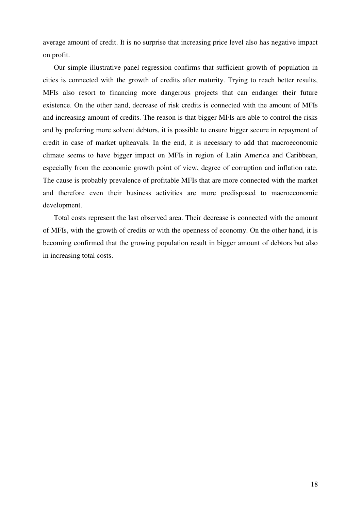average amount of credit. It is no surprise that increasing price level also has negative impact on profit.

Our simple illustrative panel regression confirms that sufficient growth of population in cities is connected with the growth of credits after maturity. Trying to reach better results, MFIs also resort to financing more dangerous projects that can endanger their future existence. On the other hand, decrease of risk credits is connected with the amount of MFIs and increasing amount of credits. The reason is that bigger MFIs are able to control the risks and by preferring more solvent debtors, it is possible to ensure bigger secure in repayment of credit in case of market upheavals. In the end, it is necessary to add that macroeconomic climate seems to have bigger impact on MFIs in region of Latin America and Caribbean, especially from the economic growth point of view, degree of corruption and inflation rate. The cause is probably prevalence of profitable MFIs that are more connected with the market and therefore even their business activities are more predisposed to macroeconomic development.

Total costs represent the last observed area. Their decrease is connected with the amount of MFIs, with the growth of credits or with the openness of economy. On the other hand, it is becoming confirmed that the growing population result in bigger amount of debtors but also in increasing total costs.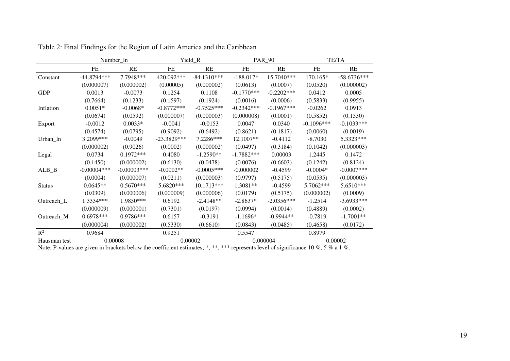|                    |                                                                                                                                    | Number_ln     |               | Yield_R       |              | <b>PAR_90</b> |              | TE/TA         |
|--------------------|------------------------------------------------------------------------------------------------------------------------------------|---------------|---------------|---------------|--------------|---------------|--------------|---------------|
|                    | <b>FE</b>                                                                                                                          | <b>RE</b>     | FE            | RE            | FE           | RE            | ${\rm FE}$   | RE            |
| Constant           | $-44.8794***$                                                                                                                      | 7.7948***     | 420.092***    | $-84.1310***$ | $-188.017*$  | 15.7040***    | 170.165*     | $-58.6736***$ |
|                    | (0.000007)                                                                                                                         | (0.000002)    | (0.00005)     | (0.000002)    | (0.0613)     | (0.0007)      | (0.0520)     | (0.000002)    |
| <b>GDP</b>         | 0.0013                                                                                                                             | $-0.0073$     | 0.1254        | 0.1108        | $-0.1770***$ | $-0.2202***$  | 0.0412       | 0.0005        |
|                    | (0.7664)                                                                                                                           | (0.1233)      | (0.1597)      | (0.1924)      | (0.0016)     | (0.0006)      | (0.5833)     | (0.9955)      |
| Inflation          | $0.0051*$                                                                                                                          | $-0.0068*$    | $-0.8772***$  | $-0.7525***$  | $-0.2342***$ | $-0.1967***$  | $-0.0262$    | 0.0913        |
|                    | (0.0674)                                                                                                                           | (0.0592)      | (0.000007)    | (0.000003)    | (0.000008)   | (0.0001)      | (0.5852)     | (0.1530)      |
| Export             | $-0.0012$                                                                                                                          | $0.0033*$     | $-0.0041$     | $-0.0153$     | 0.0047       | 0.0340        | $-0.1096***$ | $-0.1033***$  |
|                    | (0.4574)                                                                                                                           | (0.0795)      | (0.9092)      | (0.6492)      | (0.8621)     | (0.1817)      | (0.0060)     | (0.0019)      |
| Urban ln           | 3.2099***                                                                                                                          | $-0.0049$     | $-23.3829***$ | 7.2286***     | 12.1007**    | $-0.4112$     | $-8.7030$    | 5.3323***     |
|                    | (0.000002)                                                                                                                         | (0.9026)      | (0.0002)      | (0.000002)    | (0.0497)     | (0.3184)      | (0.1042)     | (0.000003)    |
| Legal              | 0.0734                                                                                                                             | $0.1972***$   | 0.4080        | $-1.2590**$   | $-1.7882***$ | 0.00003       | 1.2445       | 0.1472        |
|                    | (0.1450)                                                                                                                           | (0.000002)    | (0.6130)      | (0.0478)      | (0.0076)     | (0.6603)      | (0.1242)     | (0.8124)      |
| $ALB$ <sub>B</sub> | $-0.00004***$                                                                                                                      | $-0.00003***$ | $-0.0002**$   | $-0.0005***$  | $-0.000002$  | $-0.4599$     | $-0.0004*$   | $-0.0007***$  |
|                    | (0.0004)                                                                                                                           | (0.000007)    | (0.0211)      | (0.000003)    | (0.9797)     | (0.5175)      | (0.0535)     | (0.000003)    |
| <b>Status</b>      | $0.0645**$                                                                                                                         | $0.5670***$   | 5.6820***     | 10.1713***    | 1.3081**     | $-0.4599$     | 5.7062***    | 5.6510***     |
|                    | (0.0309)                                                                                                                           | (0.000006)    | (0.000009)    | (0.000006)    | (0.0179)     | (0.5175)      | (0.000002)   | (0.0009)      |
| Outreach_L         | 1.3334***                                                                                                                          | 1.9850***     | 0.6192        | $-2.4148**$   | $-2.8637*$   | $-2.0356***$  | $-1.2514$    | $-3.6933***$  |
|                    | (0.000009)                                                                                                                         | (0.000001)    | (0.7301)      | (0.0197)      | (0.0994)     | (0.0014)      | (0.4889)     | (0.0002)      |
| Outreach_M         | $0.6978***$                                                                                                                        | 0.9786***     | 0.6157        | $-0.3191$     | $-1.1696*$   | $-0.9944**$   | $-0.7819$    | $-1.7001**$   |
|                    | (0.000004)                                                                                                                         | (0.000002)    | (0.5330)      | (0.6610)      | (0.0843)     | (0.0485)      | (0.4658)     | (0.0172)      |
| $\mathbb{R}^2$     | 0.9684                                                                                                                             |               | 0.9251        |               | 0.5547       |               | 0.8979       |               |
| Hausman test       | 0.00008                                                                                                                            |               | 0.00002       |               | 0.000004     |               | 0.00002      |               |
|                    | Note: P-values are given in brackets below the coefficient estimates; *, **, *** represents level of significance 10 %, 5 % a 1 %. |               |               |               |              |               |              |               |

Table 2: Final Findings for the Region of Latin America and the Caribbean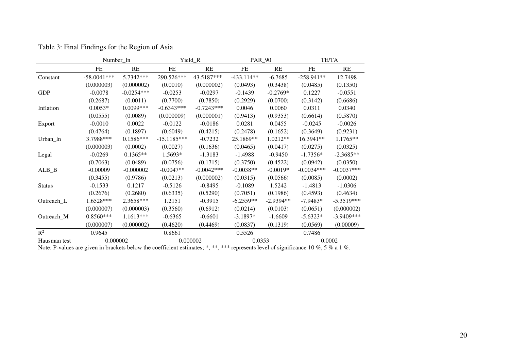|                    | Number_ln                                                                                                                          |              |               | Yield_R      | <b>PAR_90</b> |             | <b>TE/TA</b> |              |
|--------------------|------------------------------------------------------------------------------------------------------------------------------------|--------------|---------------|--------------|---------------|-------------|--------------|--------------|
|                    | FE                                                                                                                                 | RE           | FE            | RE           | FE            | RE          | FE           | RE           |
| Constant           | $-58.0041***$                                                                                                                      | 5.7342***    | 290.526***    | 43.5187***   | $-433.114**$  | $-6.7685$   | $-258.941**$ | 12.7498      |
|                    | (0.000003)                                                                                                                         | (0.000002)   | (0.0010)      | (0.000002)   | (0.0493)      | (0.3438)    | (0.0485)     | (0.1350)     |
| <b>GDP</b>         | $-0.0078$                                                                                                                          | $-0.0254***$ | $-0.0253$     | $-0.0297$    | $-0.1439$     | $-0.2769*$  | 0.1227       | $-0.0551$    |
|                    | (0.2687)                                                                                                                           | (0.0011)     | (0.7700)      | (0.7850)     | (0.2929)      | (0.0700)    | (0.3142)     | (0.6686)     |
| Inflation          | $0.0053*$                                                                                                                          | $0.0099***$  | $-0.6343***$  | $-0.7243***$ | 0.0046        | 0.0060      | 0.0311       | 0.0340       |
|                    | (0.0555)                                                                                                                           | (0.0089)     | (0.000009)    | (0.000001)   | (0.9413)      | (0.9353)    | (0.6614)     | (0.5870)     |
| Export             | $-0.0010$                                                                                                                          | 0.0022       | $-0.0122$     | $-0.0186$    | 0.0281        | 0.0455      | $-0.0245$    | $-0.0026$    |
|                    | (0.4764)                                                                                                                           | (0.1897)     | (0.6049)      | (0.4215)     | (0.2478)      | (0.1652)    | (0.3649)     | (0.9231)     |
| Urban_ln           | 3.7988***                                                                                                                          | $0.1586***$  | $-15.1185***$ | $-0.7232$    | 25.1869**     | $1.0212**$  | 16.3941**    | 1.1765**     |
|                    | (0.000003)                                                                                                                         | (0.0002)     | (0.0027)      | (0.1636)     | (0.0465)      | (0.0417)    | (0.0275)     | (0.0325)     |
| Legal              | $-0.0269$                                                                                                                          | $0.1365**$   | 1.5693*       | $-1.3183$    | $-1.4988$     | $-0.9450$   | $-1.7356*$   | $-2.3685**$  |
|                    | (0.7063)                                                                                                                           | (0.0489)     | (0.0756)      | (0.1715)     | (0.3750)      | (0.4522)    | (0.0942)     | (0.0350)     |
| $ALB$ <sub>B</sub> | $-0.00009$                                                                                                                         | $-0.000002$  | $-0.0047**$   | $-0.0042***$ | $-0.0038**$   | $-0.0019*$  | $-0.0034***$ | $-0.0037***$ |
|                    | (0.3455)                                                                                                                           | (0.9786)     | (0.0213)      | (0.000002)   | (0.0315)      | (0.0566)    | (0.0085)     | (0.0002)     |
| <b>Status</b>      | $-0.1533$                                                                                                                          | 0.1217       | $-0.5126$     | $-0.8495$    | $-0.1089$     | 1.5242      | $-1.4813$    | $-1.0306$    |
|                    | (0.2676)                                                                                                                           | (0.2680)     | (0.6335)      | (0.5290)     | (0.7051)      | (0.1986)    | (0.4593)     | (0.4634)     |
| Outreach_L         | 1.6528***                                                                                                                          | 2.3658***    | 1.2151        | $-0.3915$    | $-6.2559**$   | $-2.9394**$ | $-7.9483*$   | $-5.3519***$ |
|                    | (0.000007)                                                                                                                         | (0.000003)   | (0.3560)      | (0.6912)     | (0.0214)      | (0.0103)    | (0.0651)     | (0.000002)   |
| Outreach_M         | $0.8560***$                                                                                                                        | $1.1613***$  | $-0.6365$     | $-0.6601$    | $-3.1897*$    | $-1.6609$   | $-5.6323*$   | $-3.9409***$ |
|                    | (0.000007)                                                                                                                         | (0.000002)   | (0.4620)      | (0.4469)     | (0.0837)      | (0.1319)    | (0.0569)     | (0.00009)    |
| $\mathbb{R}^2$     | 0.9645                                                                                                                             |              | 0.8661        |              | 0.5526        |             | 0.7486       |              |
| Hausman test       | 0.000002                                                                                                                           |              | 0.000002      |              | 0.0353        |             | 0.0002       |              |
|                    | Note: P-values are given in brackets below the coefficient estimates; *, **, *** represents level of significance 10 %, 5 % a 1 %. |              |               |              |               |             |              |              |

Table 3: Final Findings for the Region of Asia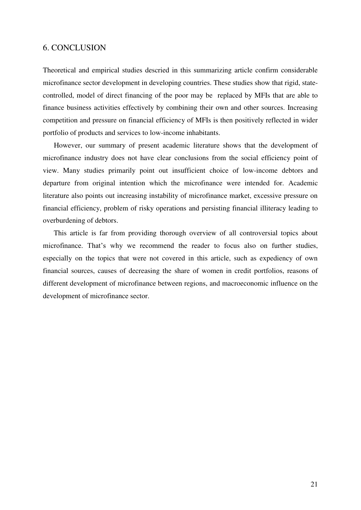### 6. CONCLUSION

Theoretical and empirical studies descried in this summarizing article confirm considerable microfinance sector development in developing countries. These studies show that rigid, statecontrolled, model of direct financing of the poor may be replaced by MFIs that are able to finance business activities effectively by combining their own and other sources. Increasing competition and pressure on financial efficiency of MFIs is then positively reflected in wider portfolio of products and services to low-income inhabitants.

However, our summary of present academic literature shows that the development of microfinance industry does not have clear conclusions from the social efficiency point of view. Many studies primarily point out insufficient choice of low-income debtors and departure from original intention which the microfinance were intended for. Academic literature also points out increasing instability of microfinance market, excessive pressure on financial efficiency, problem of risky operations and persisting financial illiteracy leading to overburdening of debtors.

This article is far from providing thorough overview of all controversial topics about microfinance. That's why we recommend the reader to focus also on further studies, especially on the topics that were not covered in this article, such as expediency of own financial sources, causes of decreasing the share of women in credit portfolios, reasons of different development of microfinance between regions, and macroeconomic influence on the development of microfinance sector.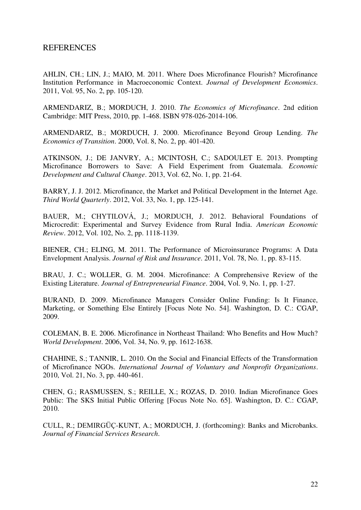# REFERENCES

AHLIN, CH.; LIN, J.; MAIO, M. 2011. Where Does Microfinance Flourish? Microfinance Institution Performance in Macroeconomic Context. *Journal of Development Economics*. 2011, Vol. 95, No. 2, pp. 105-120.

ARMENDARIZ, B.; MORDUCH, J. 2010. *The Economics of Microfinance*. 2nd edition Cambridge: MIT Press, 2010, pp. 1-468. ISBN 978-026-2014-106.

ARMENDARIZ, B.; MORDUCH, J. 2000. Microfinance Beyond Group Lending. *The Economics of Transition*. 2000, Vol. 8, No. 2, pp. 401-420.

ATKINSON, J.; DE JANVRY, A.; MCINTOSH, C.; SADOULET E. 2013. Prompting Microfinance Borrowers to Save: A Field Experiment from Guatemala. *Economic Development and Cultural Change*. 2013, Vol. 62, No. 1, pp. 21-64.

BARRY, J. J. 2012. Microfinance, the Market and Political Development in the Internet Age. *Third World Quarterly*. 2012, Vol. 33, No. 1, pp. 125-141.

BAUER, M.; CHYTILOVÁ, J.; MORDUCH, J. 2012. Behavioral Foundations of Microcredit: Experimental and Survey Evidence from Rural India. *American Economic Review*. 2012, Vol. 102, No. 2, pp. 1118-1139.

BIENER, CH.; ELING, M. 2011. The Performance of Microinsurance Programs: A Data Envelopment Analysis. *Journal of Risk and Insurance*. 2011, Vol. 78, No. 1, pp. 83-115.

BRAU, J. C.; WOLLER, G. M. 2004. Microfinance: A Comprehensive Review of the Existing Literature. *Journal of Entrepreneurial Finance*. 2004, Vol. 9, No. 1, pp. 1-27.

BURAND, D. 2009. Microfinance Managers Consider Online Funding: Is It Finance, Marketing, or Something Else Entirely [Focus Note No. 54]. Washington, D. C.: CGAP, 2009.

COLEMAN, B. E. 2006. Microfinance in Northeast Thailand: Who Benefits and How Much? *World Development*. 2006, Vol. 34, No. 9, pp. 1612-1638.

CHAHINE, S.; TANNIR, L. 2010. On the Social and Financial Effects of the Transformation of Microfinance NGOs. *International Journal of Voluntary and Nonprofit Organizations*. 2010, Vol. 21, No. 3, pp. 440-461.

CHEN, G.; RASMUSSEN, S.; REILLE, X.; ROZAS, D. 2010. Indian Microfinance Goes Public: The SKS Initial Public Offering [Focus Note No. 65]. Washington, D. C.: CGAP, 2010.

CULL, R.; DEMIRGÜÇ-KUNT, A.; MORDUCH, J. (forthcoming): Banks and Microbanks. *Journal of Financial Services Research*.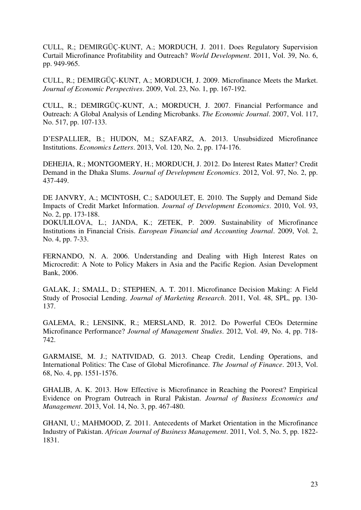CULL, R.; DEMIRGÜÇ-KUNT, A.; MORDUCH, J. 2011. Does Regulatory Supervision Curtail Microfinance Profitability and Outreach? *World Development*. 2011, Vol. 39, No. 6, pp. 949-965.

CULL, R.; DEMIRGÜÇ-KUNT, A.; MORDUCH, J. 2009. Microfinance Meets the Market. *Journal of Economic Perspectives*. 2009, Vol. 23, No. 1, pp. 167-192.

CULL, R.; DEMIRGÜÇ-KUNT, A.; MORDUCH, J. 2007. Financial Performance and Outreach: A Global Analysis of Lending Microbanks. *The Economic Journal*. 2007, Vol. 117, No. 517, pp. 107-133.

D'ESPALLIER, B.; HUDON, M.; SZAFARZ, A. 2013. Unsubsidized Microfinance Institutions. *Economics Letters*. 2013, Vol. 120, No. 2, pp. 174-176.

DEHEJIA, R.; MONTGOMERY, H.; MORDUCH, J. 2012. Do Interest Rates Matter? Credit Demand in the Dhaka Slums. *Journal of Development Economics*. 2012, Vol. 97, No. 2, pp. 437-449.

DE JANVRY, A.; MCINTOSH, C.; SADOULET, E. 2010. The Supply and Demand Side Impacts of Credit Market Information. *Journal of Development Economics*. 2010, Vol. 93, No. 2, pp. 173-188.

DOKULILOVA, L.; JANDA, K.; ZETEK, P. 2009. Sustainability of Microfinance Institutions in Financial Crisis. *European Financial and Accounting Journal*. 2009, Vol. 2, No. 4, pp. 7-33.

FERNANDO, N. A. 2006. Understanding and Dealing with High Interest Rates on Microcredit: A Note to Policy Makers in Asia and the Pacific Region. Asian Development Bank, 2006.

GALAK, J.; SMALL, D.; STEPHEN, A. T. 2011. Microfinance Decision Making: A Field Study of Prosocial Lending. *Journal of Marketing Research*. 2011, Vol. 48, SPL, pp. 130- 137.

GALEMA, R.; LENSINK, R.; MERSLAND, R. 2012. Do Powerful CEOs Determine Microfinance Performance? *Journal of Management Studies*. 2012, Vol. 49, No. 4, pp. 718- 742.

GARMAISE, M. J.; NATIVIDAD, G. 2013. Cheap Credit, Lending Operations, and International Politics: The Case of Global Microfinance. *The Journal of Finance*. 2013, Vol. 68, No. 4, pp. 1551-1576.

GHALIB, A. K. 2013. How Effective is Microfinance in Reaching the Poorest? Empirical Evidence on Program Outreach in Rural Pakistan. *Journal of Business Economics and Management*. 2013, Vol. 14, No. 3, pp. 467-480.

GHANI, U.; MAHMOOD, Z. 2011. Antecedents of Market Orientation in the Microfinance Industry of Pakistan. *African Journal of Business Management*. 2011, Vol. 5, No. 5, pp. 1822- 1831.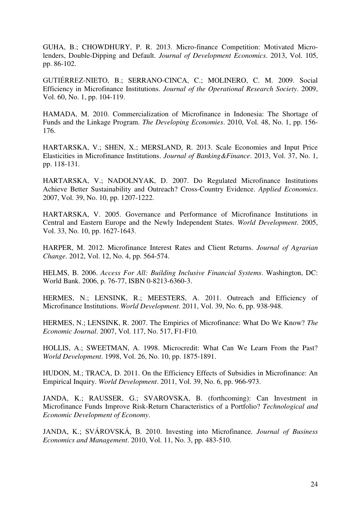GUHA, B.; CHOWDHURY, P. R. 2013. Micro-finance Competition: Motivated Microlenders, Double-Dipping and Default. *Journal of Development Economics*. 2013, Vol. 105, pp. 86-102.

GUTIÉRREZ-NIETO, B.; SERRANO-CINCA, C.; MOLINERO, C. M. 2009. Social Efficiency in Microfinance Institutions. *Journal of the Operational Research Society*. 2009, Vol. 60, No. 1, pp. 104-119.

HAMADA, M. 2010. Commercialization of Microfinance in Indonesia: The Shortage of Funds and the Linkage Program. *The Developing Economies*. 2010, Vol. 48, No. 1, pp. 156- 176.

HARTARSKA, V.; SHEN, X.; MERSLAND, R. 2013. Scale Economies and Input Price Elasticities in Microfinance Institutions. *Journal of Banking&Finance*. 2013, Vol. 37, No. 1, pp. 118-131.

HARTARSKA, V.; NADOLNYAK, D. 2007. Do Regulated Microfinance Institutions Achieve Better Sustainability and Outreach? Cross-Country Evidence. *Applied Economics*. 2007, Vol. 39, No. 10, pp. 1207-1222.

HARTARSKA, V. 2005. Governance and Performance of Microfinance Institutions in Central and Eastern Europe and the Newly Independent States. *World Development*. 2005, Vol. 33, No. 10, pp. 1627-1643.

HARPER, M. 2012. Microfinance Interest Rates and Client Returns. *Journal of Agrarian Change*. 2012, Vol. 12, No. 4, pp. 564-574.

HELMS, B. 2006. *Access For All: Building Inclusive Financial Systems*. Washington, DC: World Bank. 2006, p. 76-77, ISBN 0-8213-6360-3.

HERMES, N.; LENSINK, R.; MEESTERS, A. 2011. Outreach and Efficiency of Microfinance Institutions. *World Development*. 2011, Vol. 39, No. 6, pp. 938-948.

HERMES, N.; LENSINK, R. 2007. The Empirics of Microfinance: What Do We Know? *The Economic Journal*. 2007, Vol. 117, No. 517, F1-F10.

HOLLIS, A.; SWEETMAN, A. 1998. Microcredit: What Can We Learn From the Past? *World Development*. 1998, Vol. 26, No. 10, pp. 1875-1891.

HUDON, M.; TRACA, D. 2011. On the Efficiency Effects of Subsidies in Microfinance: An Empirical Inquiry. *World Development*. 2011, Vol. 39, No. 6, pp. 966-973.

JANDA, K.; RAUSSER, G.; SVAROVSKA, B. (forthcoming): Can Investment in Microfinance Funds Improve Risk-Return Characteristics of a Portfolio? *Technological and Economic Development of Economy*.

JANDA, K.; SVÁROVSKÁ, B. 2010. Investing into Microfinance. *Journal of Business Economics and Management*. 2010, Vol. 11, No. 3, pp. 483-510.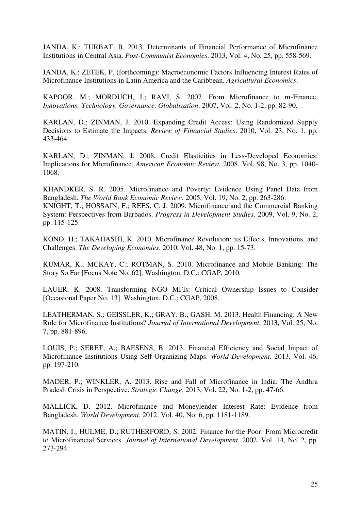JANDA, K.; TURBAT, B. 2013. Determinants of Financial Performance of Microfinance Institutions in Central Asia. *Post-Communist Economies*. 2013, Vol. 4, No. 25, pp. 558-569.

JANDA, K.; ZETEK, P. (forthcoming): Macroeconomic Factors Influencing Interest Rates of Microfinance Institutions in Latin America and the Caribbean. *Agricultural Economics*.

KAPOOR, M.; MORDUCH, J.; RAVI, S. 2007. From Microfinance to m-Finance. *Innovations: Technology, Governance, Globalization*. 2007, Vol. 2, No. 1-2, pp. 82-90.

KARLAN, D.; ZINMAN, J. 2010. Expanding Credit Access: Using Randomized Supply Decisions to Estimate the Impacts. *Review of Financial Studies*. 2010, Vol. 23, No. 1, pp. 433-464.

KARLAN, D.; ZINMAN, J. 2008. Credit Elasticities in Less-Developed Economies: Implications for Microfinance. *American Economic Review*. 2008, Vol. 98, No. 3, pp. 1040- 1068.

KHANDKER, S. R. 2005. Microfinance and Poverty: Evidence Using Panel Data from Bangladesh. *The World Bank Economic Review*. 2005, Vol. 19, No. 2, pp. 263-286. KNIGHT, T.; HOSSAIN, F.; REES, C. J. 2009. Microfinance and the Commercial Banking System: Perspectives from Barbados. *Progress in Development Studies*. 2009, Vol. 9, No. 2, pp. 115-125.

KONO, H.; TAKAHASHI, K. 2010. Microfinance Revolution: its Effects, Innovations, and Challenges. *The Developing Economies*. 2010, Vol. 48, No. 1, pp. 15-73.

KUMAR, K.; MCKAY, C.; ROTMAN, S. 2010. Microfinance and Mobile Banking: The Story So Far [Focus Note No. 62]. Washington, D.C.: CGAP, 2010.

LAUER, K. 2008. Transforming NGO MFIs: Critical Ownership Issues to Consider [Occasional Paper No. 13]. Washington, D.C.: CGAP, 2008.

LEATHERMAN, S.; GEISSLER, K.; GRAY, B.; GASH, M. 2013. Health Financing: A New Role for Microfinance Institutions? *Journal of International Development*. 2013, Vol. 25, No. 7, pp. 881-896.

LOUIS, P.; SERET, A.; BAESENS, B. 2013. Financial Efficiency and Social Impact of Microfinance Institutions Using Self-Organizing Maps. *World Development*. 2013, Vol. 46, pp. 197-210.

MADER, P.; WINKLER, A. 2013. Rise and Fall of Microfinance in India: The Andhra Pradesh Crisis in Perspective. *Strategic Change*. 2013, Vol. 22, No. 1-2, pp. 47-66.

MALLICK, D. 2012. Microfinance and Moneylender Interest Rate: Evidence from Bangladesh. *World Development*. 2012, Vol. 40, No. 6, pp. 1181-1189.

MATIN, I.; HULME, D.; RUTHERFORD, S. 2002. Finance for the Poor: From Microcredit to Microfinancial Services. *Journal of International Development*. 2002, Vol. 14, No. 2, pp. 273-294.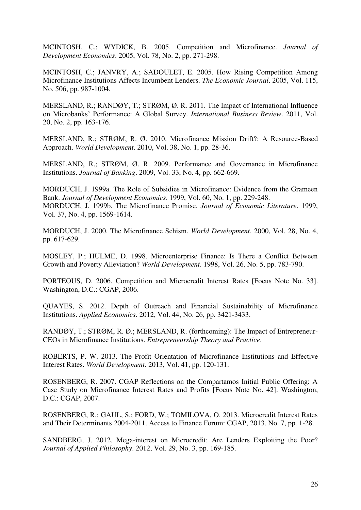MCINTOSH, C.; WYDICK, B. 2005. Competition and Microfinance. *Journal of Development Economics*. 2005, Vol. 78, No. 2, pp. 271-298.

MCINTOSH, C.; JANVRY, A.; SADOULET, E. 2005. How Rising Competition Among Microfinance Institutions Affects Incumbent Lenders. *The Economic Journal*. 2005, Vol. 115, No. 506, pp. 987-1004.

MERSLAND, R.; RANDØY, T.; STRØM, Ø. R. 2011. The Impact of International Influence on Microbanks' Performance: A Global Survey. *International Business Review*. 2011, Vol. 20, No. 2, pp. 163-176.

MERSLAND, R.; STRØM, R. Ø. 2010. Microfinance Mission Drift?: A Resource-Based Approach. *World Development*. 2010, Vol. 38, No. 1, pp. 28-36.

MERSLAND, R.; STRØM, Ø. R. 2009. Performance and Governance in Microfinance Institutions. *Journal of Banking*. 2009, Vol. 33, No. 4, pp. 662-669.

MORDUCH, J. 1999a. The Role of Subsidies in Microfinance: Evidence from the Grameen Bank. *Journal of Development Economics*. 1999, Vol. 60, No. 1, pp. 229-248. MORDUCH, J. 1999b. The Microfinance Promise. *Journal of Economic Literature*. 1999, Vol. 37, No. 4, pp. 1569-1614.

MORDUCH, J. 2000. The Microfinance Schism. *World Development*. 2000, Vol. 28, No. 4, pp. 617-629.

MOSLEY, P.; HULME, D. 1998. Microenterprise Finance: Is There a Conflict Between Growth and Poverty Alleviation? *World Development*. 1998, Vol. 26, No. 5, pp. 783-790.

PORTEOUS, D. 2006. Competition and Microcredit Interest Rates [Focus Note No. 33]. Washington, D.C.: CGAP, 2006.

QUAYES, S. 2012. Depth of Outreach and Financial Sustainability of Microfinance Institutions. *Applied Economics*. 2012, Vol. 44, No. 26, pp. 3421-3433.

RANDØY, T.; STRØM, R. Ø.; MERSLAND, R. (forthcoming): The Impact of Entrepreneur-CEOs in Microfinance Institutions. *Entrepreneurship Theory and Practice*.

ROBERTS, P. W. 2013. The Profit Orientation of Microfinance Institutions and Effective Interest Rates. *World Development*. 2013, Vol. 41, pp. 120-131.

ROSENBERG, R. 2007. CGAP Reflections on the Compartamos Initial Public Offering: A Case Study on Microfinance Interest Rates and Profits [Focus Note No. 42]. Washington, D.C.: CGAP, 2007.

ROSENBERG, R.; GAUL, S.; FORD, W.; TOMILOVA, O. 2013. Microcredit Interest Rates and Their Determinants 2004-2011. Access to Finance Forum: CGAP, 2013. No. 7, pp. 1-28.

SANDBERG, J. 2012. Mega-interest on Microcredit: Are Lenders Exploiting the Poor? *Journal of Applied Philosophy*. 2012, Vol. 29, No. 3, pp. 169-185.